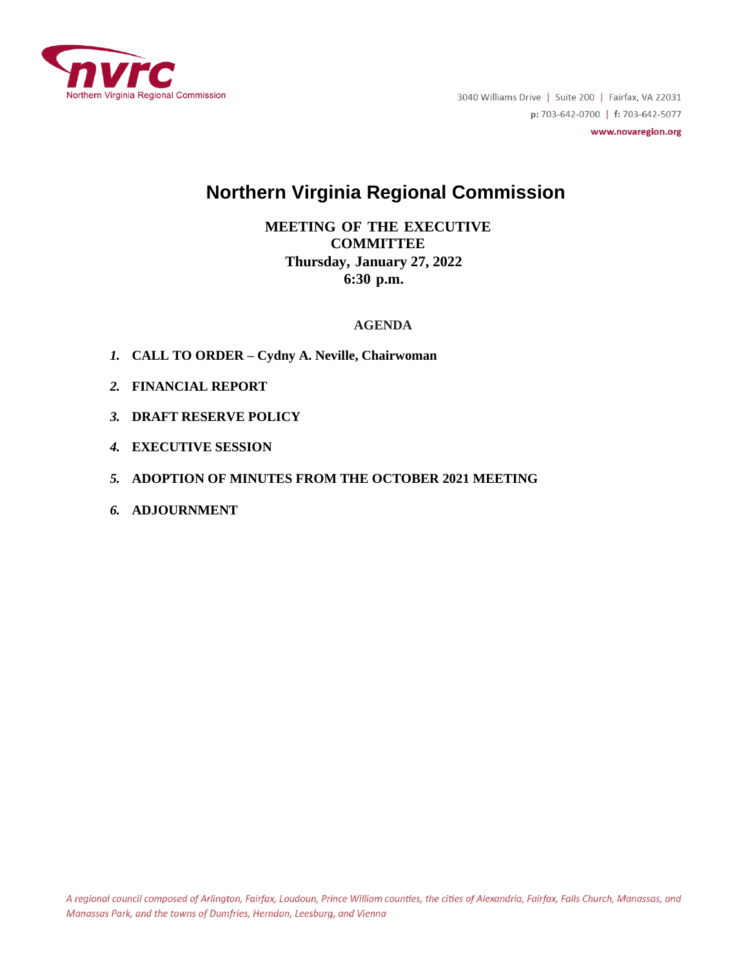

3040 Williams Drive | Suite 200 | Fairfax, VA 22031 p: 703-642-0700 | f: 703-642-5077

www.novaregion.org

# **Northern Virginia Regional Commission**

# **MEETING OF THE EXECUTIVE COMMITTEE Thursday, January 27, 2022 6:30 p.m.**

### **AGENDA**

- *1.* **CALL TO ORDER – Cydny A. Neville, Chairwoman**
- *2.* **FINANCIAL REPORT**
- *3.* **DRAFT RESERVE POLICY**
- *4.* **EXECUTIVE SESSION**
- *5.* **ADOPTION OF MINUTES FROM THE OCTOBER 2021 MEETING**
- *6.* **ADJOURNMENT**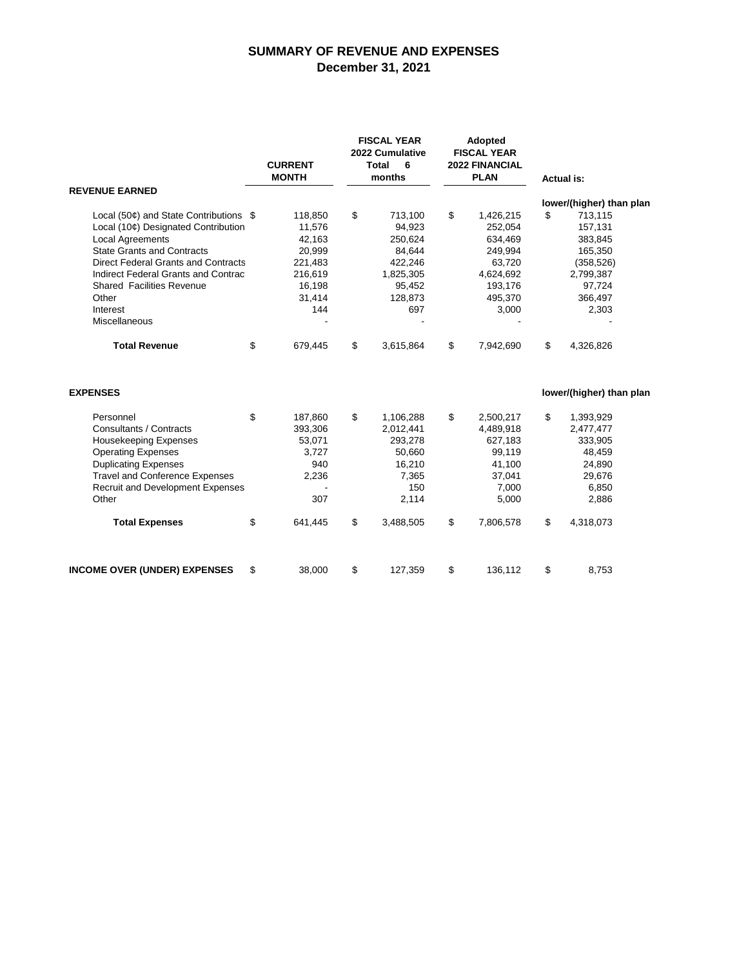### **SUMMARY OF REVENUE AND EXPENSES December 31, 2021**

|                                                                                                                                                                                                                                                                                                              |    | <b>CURRENT</b><br><b>MONTH</b>                                                         |    | <b>FISCAL YEAR</b><br>2022 Cumulative<br><b>Total</b><br>6<br>months                       |    | <b>Adopted</b><br><b>FISCAL YEAR</b><br><b>2022 FINANCIAL</b><br><b>PLAN</b>                     |    | <b>Actual is:</b>                                                                                                             |  |
|--------------------------------------------------------------------------------------------------------------------------------------------------------------------------------------------------------------------------------------------------------------------------------------------------------------|----|----------------------------------------------------------------------------------------|----|--------------------------------------------------------------------------------------------|----|--------------------------------------------------------------------------------------------------|----|-------------------------------------------------------------------------------------------------------------------------------|--|
| <b>REVENUE EARNED</b>                                                                                                                                                                                                                                                                                        |    |                                                                                        |    |                                                                                            |    |                                                                                                  |    |                                                                                                                               |  |
| Local (50¢) and State Contributions \$<br>Local (10¢) Designated Contribution<br><b>Local Agreements</b><br><b>State Grants and Contracts</b><br><b>Direct Federal Grants and Contracts</b><br>Indirect Federal Grants and Contrac<br><b>Shared Facilities Revenue</b><br>Other<br>Interest<br>Miscellaneous |    | 118,850<br>11,576<br>42,163<br>20,999<br>221,483<br>216,619<br>16,198<br>31,414<br>144 | \$ | 713,100<br>94,923<br>250,624<br>84,644<br>422,246<br>1,825,305<br>95,452<br>128,873<br>697 | \$ | 1,426,215<br>252,054<br>634,469<br>249,994<br>63,720<br>4,624,692<br>193,176<br>495,370<br>3,000 | \$ | lower/(higher) than plan<br>713,115<br>157,131<br>383,845<br>165,350<br>(358, 526)<br>2,799,387<br>97,724<br>366,497<br>2,303 |  |
| <b>Total Revenue</b>                                                                                                                                                                                                                                                                                         | \$ | 679,445                                                                                | \$ | 3,615,864                                                                                  | \$ | 7,942,690                                                                                        | \$ | 4,326,826                                                                                                                     |  |
| <b>EXPENSES</b>                                                                                                                                                                                                                                                                                              |    |                                                                                        |    |                                                                                            |    |                                                                                                  |    | lower/(higher) than plan                                                                                                      |  |
| Personnel<br>Consultants / Contracts<br><b>Housekeeping Expenses</b><br><b>Operating Expenses</b><br><b>Duplicating Expenses</b><br><b>Travel and Conference Expenses</b><br><b>Recruit and Development Expenses</b><br>Other                                                                                | \$ | 187,860<br>393,306<br>53,071<br>3,727<br>940<br>2,236<br>307                           | \$ | 1,106,288<br>2,012,441<br>293,278<br>50,660<br>16,210<br>7,365<br>150<br>2,114             | \$ | 2,500,217<br>4,489,918<br>627,183<br>99,119<br>41,100<br>37,041<br>7,000<br>5,000                | \$ | 1,393,929<br>2,477,477<br>333,905<br>48,459<br>24,890<br>29,676<br>6,850<br>2,886                                             |  |
| <b>Total Expenses</b>                                                                                                                                                                                                                                                                                        | \$ | 641,445                                                                                | \$ | 3,488,505                                                                                  | \$ | 7,806,578                                                                                        | \$ | 4,318,073                                                                                                                     |  |
| <b>INCOME OVER (UNDER) EXPENSES</b>                                                                                                                                                                                                                                                                          | \$ | 38,000                                                                                 | \$ | 127,359                                                                                    | \$ | 136,112                                                                                          | \$ | 8,753                                                                                                                         |  |
|                                                                                                                                                                                                                                                                                                              |    |                                                                                        |    |                                                                                            |    |                                                                                                  |    |                                                                                                                               |  |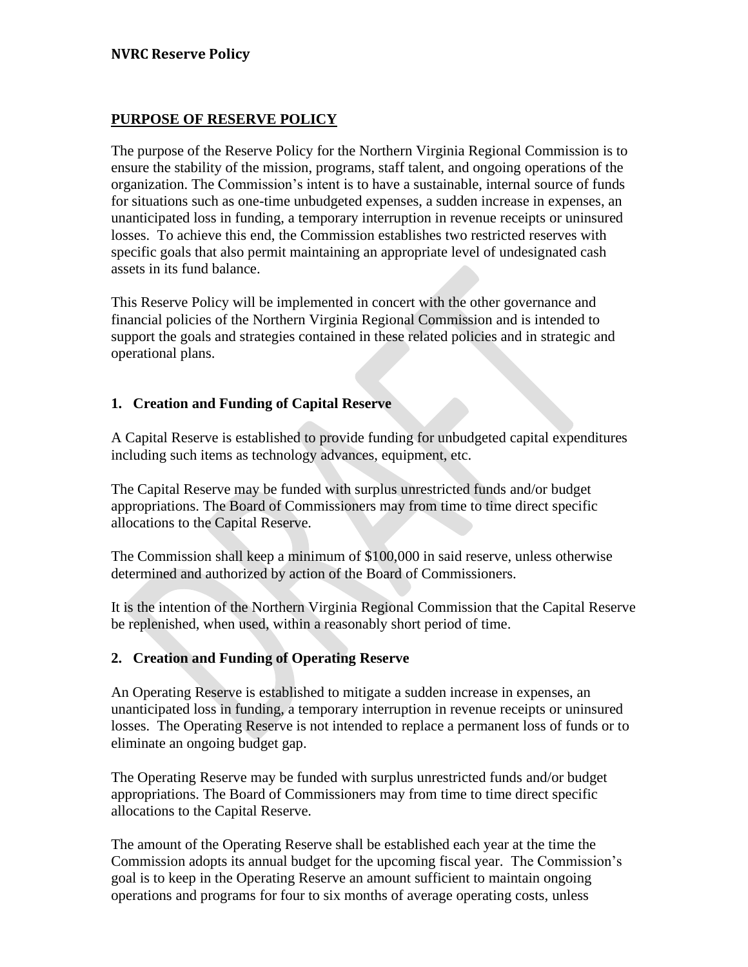# **PURPOSE OF RESERVE POLICY**

The purpose of the Reserve Policy for the Northern Virginia Regional Commission is to ensure the stability of the mission, programs, staff talent, and ongoing operations of the organization. The Commission's intent is to have a sustainable, internal source of funds for situations such as one-time unbudgeted expenses, a sudden increase in expenses, an unanticipated loss in funding, a temporary interruption in revenue receipts or uninsured losses. To achieve this end, the Commission establishes two restricted reserves with specific goals that also permit maintaining an appropriate level of undesignated cash assets in its fund balance.

This Reserve Policy will be implemented in concert with the other governance and financial policies of the Northern Virginia Regional Commission and is intended to support the goals and strategies contained in these related policies and in strategic and operational plans.

# **1. Creation and Funding of Capital Reserve**

A Capital Reserve is established to provide funding for unbudgeted capital expenditures including such items as technology advances, equipment, etc.

The Capital Reserve may be funded with surplus unrestricted funds and/or budget appropriations. The Board of Commissioners may from time to time direct specific allocations to the Capital Reserve.

The Commission shall keep a minimum of \$100,000 in said reserve, unless otherwise determined and authorized by action of the Board of Commissioners.

It is the intention of the Northern Virginia Regional Commission that the Capital Reserve be replenished, when used, within a reasonably short period of time.

# **2. Creation and Funding of Operating Reserve**

An Operating Reserve is established to mitigate a sudden increase in expenses, an unanticipated loss in funding, a temporary interruption in revenue receipts or uninsured losses. The Operating Reserve is not intended to replace a permanent loss of funds or to eliminate an ongoing budget gap.

The Operating Reserve may be funded with surplus unrestricted funds and/or budget appropriations. The Board of Commissioners may from time to time direct specific allocations to the Capital Reserve.

The amount of the Operating Reserve shall be established each year at the time the Commission adopts its annual budget for the upcoming fiscal year. The Commission's goal is to keep in the Operating Reserve an amount sufficient to maintain ongoing operations and programs for four to six months of average operating costs, unless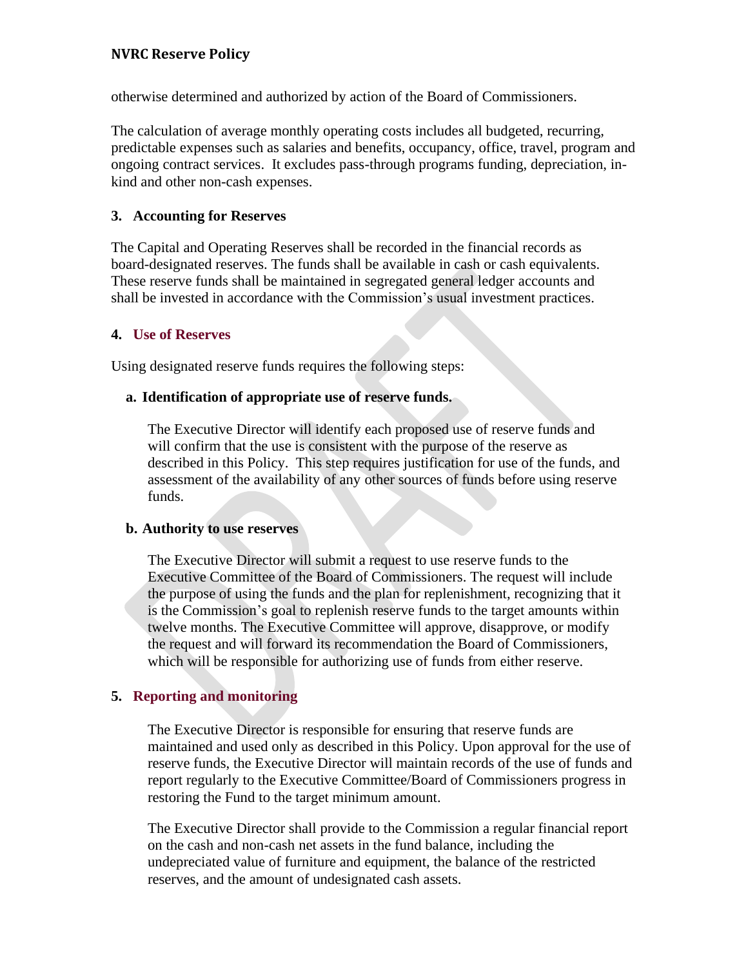# **NVRC Reserve Policy**

otherwise determined and authorized by action of the Board of Commissioners.

The calculation of average monthly operating costs includes all budgeted, recurring, predictable expenses such as salaries and benefits, occupancy, office, travel, program and ongoing contract services. It excludes pass-through programs funding, depreciation, inkind and other non-cash expenses.

# **3. Accounting for Reserves**

The Capital and Operating Reserves shall be recorded in the financial records as board-designated reserves. The funds shall be available in cash or cash equivalents. These reserve funds shall be maintained in segregated general ledger accounts and shall be invested in accordance with the Commission's usual investment practices.

### **4. Use of Reserves**

Using designated reserve funds requires the following steps:

### **a. Identification of appropriate use of reserve funds.**

The Executive Director will identify each proposed use of reserve funds and will confirm that the use is consistent with the purpose of the reserve as described in this Policy. This step requires justification for use of the funds, and assessment of the availability of any other sources of funds before using reserve funds.

### **b. Authority to use reserves**

The Executive Director will submit a request to use reserve funds to the Executive Committee of the Board of Commissioners. The request will include the purpose of using the funds and the plan for replenishment, recognizing that it is the Commission's goal to replenish reserve funds to the target amounts within twelve months. The Executive Committee will approve, disapprove, or modify the request and will forward its recommendation the Board of Commissioners, which will be responsible for authorizing use of funds from either reserve.

# **5. Reporting and monitoring**

The Executive Director is responsible for ensuring that reserve funds are maintained and used only as described in this Policy. Upon approval for the use of reserve funds, the Executive Director will maintain records of the use of funds and report regularly to the Executive Committee/Board of Commissioners progress in restoring the Fund to the target minimum amount.

The Executive Director shall provide to the Commission a regular financial report on the cash and non-cash net assets in the fund balance, including the undepreciated value of furniture and equipment, the balance of the restricted reserves, and the amount of undesignated cash assets.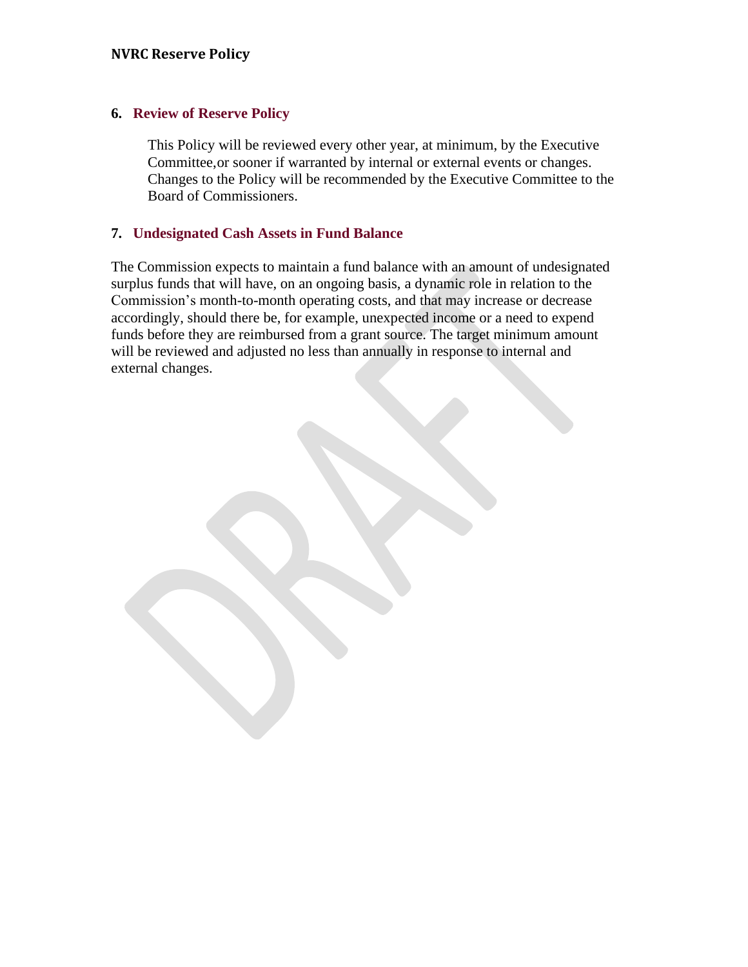### **6. Review of Reserve Policy**

This Policy will be reviewed every other year, at minimum, by the Executive Committee, or sooner if warranted by internal or external events or changes. Changes to the Policy will be recommended by the Executive Committee to the Board of Commissioners.

# **7. Undesignated Cash Assets in Fund Balance**

The Commission expects to maintain a fund balance with an amount of undesignated surplus funds that will have, on an ongoing basis, a dynamic role in relation to the Commission's month-to-month operating costs, and that may increase or decrease accordingly, should there be, for example, unexpected income or a need to expend funds before they are reimbursed from a grant source. The target minimum amount will be reviewed and adjusted no less than annually in response to internal and external changes.